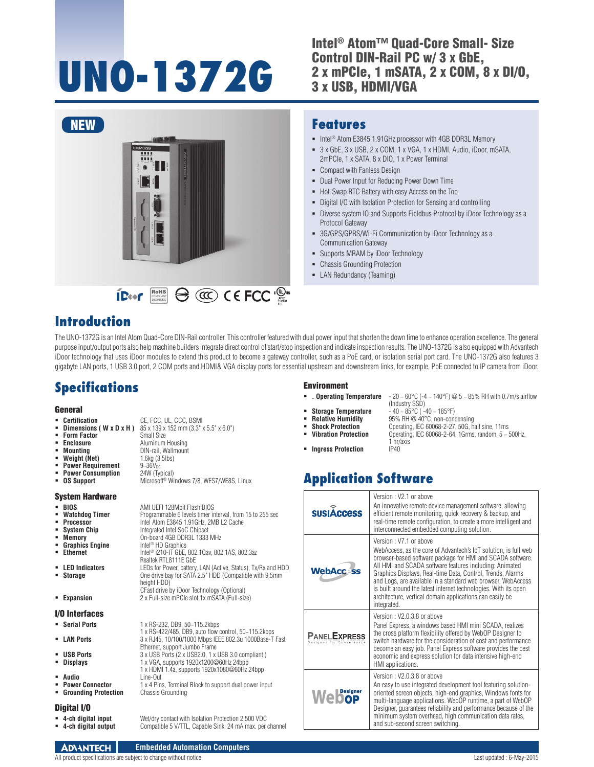# **UNO-1372G**

Intel® Atom™ Quad-Core Small- Size Control DIN-Rail PC w/ 3 x GbE, 2 x mPCIe, 1 mSATA, 2 x COM, 8 x DI/O, 3 x USB, HDMI/VGA



DIN-rail, Wallmount<br>1.6kg (3.5lbs)

**Integrated Intel SoC Chipset** On-board 4GB DDR3L 1333 MHz<br>Intel<sup>®</sup> HD Graphics

Realtek RTL8111E GbE

height HDD)

**OS Support** Microsoft® Windows 7/8, WES7/WE8S, Linux

**Ethernet** Intel® i210-IT GbE, 802.1Qav, 802.1AS, 802.3az

CFast drive by iDoor Technology (Optional)

 **Displays** 1 x VGA, supports 1920x1200@60Hz 24bpp 1 x HDMI 1.4a, supports 1920x1080@60Hz 24bpp<br>Line-Out

**Storage** One drive bay for SATA 2.5" HDD (Compatible with 9.5mm

1 x RS-422/485, DB9, auto flow control, 50~115.2kbps

**1 x 4 Pins, Terminal Block to support dual power input Chassis Grounding** 

#### **Features**

- Intel<sup>®</sup> Atom E3845 1.91GHz processor with 4GB DDR3L Memory
- 3 x GbE, 3 x USB, 2 x COM, 1 x VGA, 1 x HDMI, Audio, iDoor, mSATA, 2mPCIe, 1 x SATA, 8 x DIO, 1 x Power Terminal
- Compact with Fanless Design
- Dual Power Input for Reducing Power Down Time
- Hot-Swap RTC Battery with easy Access on the Top
- Digital I/O with Isolation Protection for Sensing and controlling
- Diverse system IO and Supports Fieldbus Protocol by iDoor Technology as a Protocol Gateway
- 3G/GPS/GPRS/Wi-Fi Communication by iDoor Technology as a Communication Gateway

(Industry SSD)

1 hr/axis

**Vibration Protection** Operating, IEC 60068-2-64, 1Grms, random, 5 ~ 500Hz,

- Supports MRAM by iDoor Technology
- Chassis Grounding Protection
- **-** LAN Redundancy (Teaming)

#### **Introduction**

The UNO-1372G is an Intel Atom Quad-Core DIN-Rail controller. This controller featured with dual power input that shorten the down time to enhance operation excellence. The general purpose input/output ports also help machine builders integrate direct control of start/stop inspection and indicate inspection results. The UNO-1372G is also equipped with Advantech iDoor technology that uses iDoor modules to extend this product to become a gateway controller, such as a PoE card, or isolation serial port card. The UNO-1372G also features 3 gigabyte LAN ports, 1 USB 3.0 port, 2 COM ports and HDMI& VGA display ports for essential upstream and downstream links, for example, PoE connected to IP camera from iDoor.

#### **Specifications**

#### **General**

- **Certification** CE, FCC, UL, CCC, BSMI
	- **Dimensions ( W x D x H )**  $85 \times 139 \times 152$  mm ( $3.3" \times 5.5" \times 6.0"$ )<br>Form Factor **Form Factor**
- **Enclosure Aluminum Housing**
- 
- 
- **Mounting** DIN-rail,<br>**Weight (Net)** 1.6kg (3<br>**Power Requirement** 9~36V<sub>pc</sub> **Power Requirement** 9~36V<sub>DC</sub><br>**Power Consumption** 24W (Typical)
- **Power Consumption<br>OS Support**
- 

#### System Hardware

- **BIOS** AMI UEFI 128Mbit Flash BIOS<br>**BIOS Watchdog Timer** Programmable 6 levels timer in
- **Watchdog Timer** Programmable 6 levels timer interval, from 15 to 255 sec<br> **Processor** Intel Atom F3845 1 91GHz 2MB L2 Cache **Processor** Intel Atom E3845 1.91GHz, 2MB L2 Cache
- 
- 
- **Memory<br>Graphics Engine<br>Ethernet**
- 
- **LED Indicators** LEDs for Power, battery, LAN (Active, Status), Tx/Rx and HDD<br> **Storage COM** One drive bay for SATA 2.5" HDD (Compatible with 9.5mm
- 
- **Expansion** 2 x Full-size mPCIe slot,1x mSATA (Full-size)

#### I/O Interfaces

- **Serial Ports** 1 x RS-232, DB9, 50~115.2kbps
- **LAN Ports** 3 x RJ45, 10/100/1000 Mbps IEEE 802.3u 1000Base-T Fast
- **USB Ports**<br> **USB Ports** 3 x USB Ports (2 x USB2.0, 1 x USB 3.0 compliant )<br> **USB 1 x VGA, supports 1920x1200@60Hz 24bpp**
- 
- 
- **Audio<br>• Power Connector**
- **E** Grounding Protection

#### Digital I/O

- 
- **4-ch digital input** Wet/dry contact with Isolation Protection 2,500 VDC Compatible 5 V/TTL, Capable Sink: 24 mA max. per channel

Ethernet, support Jumbo Frame

- Environment
- **. . Operating Temperature**  $-20 \sim 60^{\circ}$ C ( $-4 \sim 140^{\circ}$ F) @  $5 \sim 85\%$  RH with 0.7m/s airflow
- 
- **Storage Temperature**  $-40 \sim 85^{\circ}$ C ( $-40 \sim 185^{\circ}$ F)<br>**Relative Humidity** 95% RH @ 40°C, non-cone
- **Relative Humidity** 95% RH @ 40°C, non-condensing<br> **Shock Protection** Operating, IEC 60068-2-27, 50G, has
- **Shock Protection Changes** Operating, IEC 60068-2-27, 50G, half sine, 11ms **Vibration Protection Changes** Operating, IEC 60068-2-64, 1Grms, random, 5 9
	-
- $\blacksquare$  Ingress Protection

# **Application Software**

| <b>SUSIÂCCESS</b>                                | Version: V2.1 or above<br>An innovative remote device management software, allowing<br>efficient remote monitoring, quick recovery & backup, and<br>real-time remote configuration, to create a more intelligent and<br>interconnected embedded computing solution.                                                                                                                                                                                                                            |
|--------------------------------------------------|------------------------------------------------------------------------------------------------------------------------------------------------------------------------------------------------------------------------------------------------------------------------------------------------------------------------------------------------------------------------------------------------------------------------------------------------------------------------------------------------|
| <b>WebAcc-ss</b>                                 | Version: V7.1 or above<br>WebAccess, as the core of Advantech's IoT solution, is full web<br>browser-based software package for HMI and SCADA software.<br>All HMI and SCADA software features including: Animated<br>Graphics Displays, Real-time Data, Control, Trends, Alarms<br>and Logs, are available in a standard web browser. WebAccess<br>is built around the latest internet technologies. With its open<br>architecture, vertical domain applications can easily be<br>integrated. |
| <b>PANEL EXPRESS</b><br>Designed for Convenience | Version: V2.0.3.8 or above<br>Panel Express, a windows based HMI mini SCADA, realizes<br>the cross platform flexibility offered by WebOP Designer to<br>switch hardware for the consideration of cost and performance<br>become an easy job. Panel Express software provides the best<br>economic and express solution for data intensive high-end<br>HMI applications.                                                                                                                        |
| <b>Webop</b>                                     | Version: V2.0.3.8 or above<br>An easy to use integrated development tool featuring solution-<br>oriented screen objects, high-end graphics, Windows fonts for<br>multi-language applications. WebOP runtime, a part of WebOP<br>Designer, quarantees reliability and performance because of the<br>minimum system overhead, high communication data rates,<br>and sub-second screen switching.                                                                                                 |